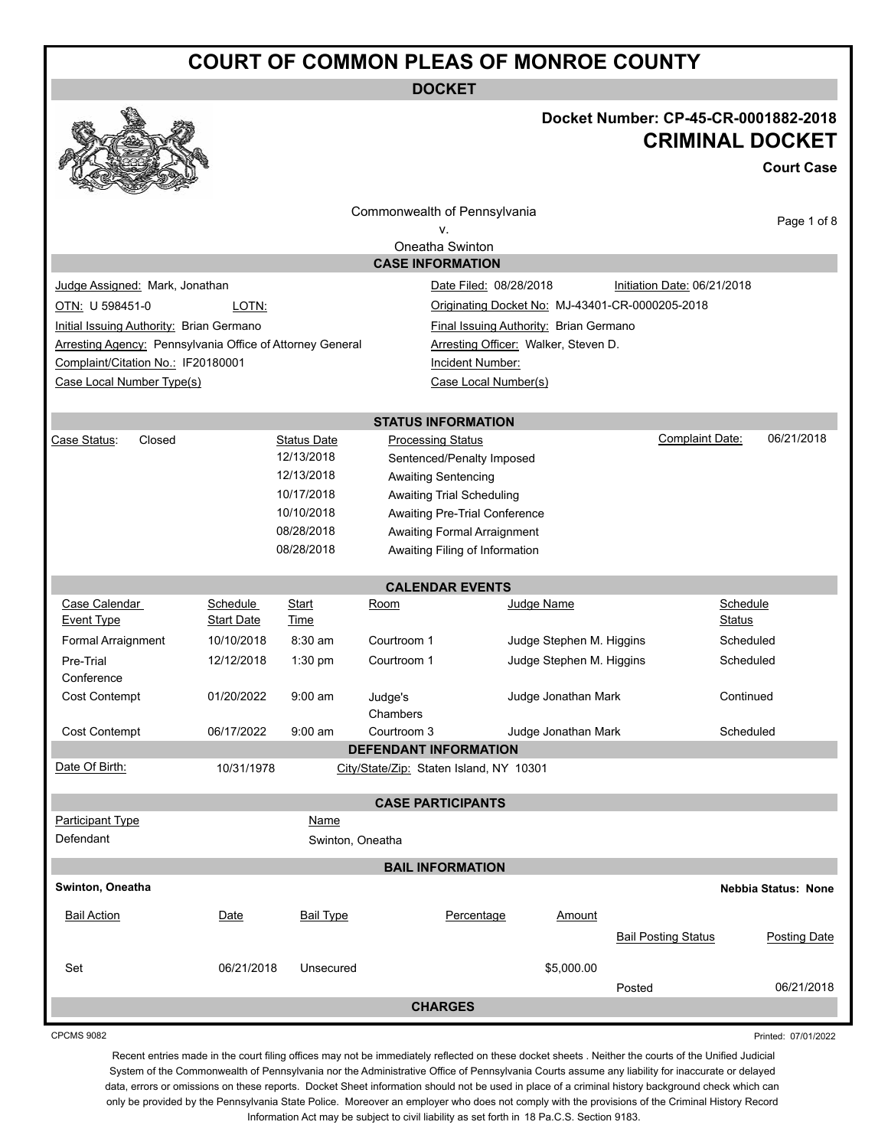**DOCKET**



## **Docket Number: CP-45-CR-0001882-2018 CRIMINAL DOCKET**

**Court Case**

|                                                           |                   |                    | Commonwealth of Pennsylvania            |                                        |                          |                                                 | Page 1 of 8         |
|-----------------------------------------------------------|-------------------|--------------------|-----------------------------------------|----------------------------------------|--------------------------|-------------------------------------------------|---------------------|
|                                                           |                   |                    | ν.                                      |                                        |                          |                                                 |                     |
|                                                           |                   |                    | Oneatha Swinton                         |                                        |                          |                                                 |                     |
|                                                           |                   |                    | <b>CASE INFORMATION</b>                 |                                        |                          |                                                 |                     |
| Judge Assigned: Mark, Jonathan                            |                   |                    |                                         | Date Filed: 08/28/2018                 |                          | Initiation Date: 06/21/2018                     |                     |
| OTN: U 598451-0                                           | LOTN:             |                    |                                         |                                        |                          | Originating Docket No: MJ-43401-CR-0000205-2018 |                     |
| Initial Issuing Authority: Brian Germano                  |                   |                    |                                         | Final Issuing Authority: Brian Germano |                          |                                                 |                     |
| Arresting Agency: Pennsylvania Office of Attorney General |                   |                    |                                         | Arresting Officer: Walker, Steven D.   |                          |                                                 |                     |
| Complaint/Citation No.: IF20180001                        |                   |                    |                                         | Incident Number:                       |                          |                                                 |                     |
| Case Local Number Type(s)                                 |                   |                    |                                         | Case Local Number(s)                   |                          |                                                 |                     |
|                                                           |                   |                    |                                         |                                        |                          |                                                 |                     |
|                                                           |                   |                    | <b>STATUS INFORMATION</b>               |                                        |                          |                                                 |                     |
| Case Status:<br>Closed                                    |                   | <b>Status Date</b> | <b>Processing Status</b>                |                                        |                          | Complaint Date:                                 | 06/21/2018          |
|                                                           |                   | 12/13/2018         |                                         | Sentenced/Penalty Imposed              |                          |                                                 |                     |
|                                                           |                   | 12/13/2018         | <b>Awaiting Sentencing</b>              |                                        |                          |                                                 |                     |
|                                                           |                   | 10/17/2018         | <b>Awaiting Trial Scheduling</b>        |                                        |                          |                                                 |                     |
|                                                           |                   | 10/10/2018         |                                         | Awaiting Pre-Trial Conference          |                          |                                                 |                     |
|                                                           |                   | 08/28/2018         |                                         | Awaiting Formal Arraignment            |                          |                                                 |                     |
|                                                           |                   | 08/28/2018         |                                         | Awaiting Filing of Information         |                          |                                                 |                     |
|                                                           |                   |                    | <b>CALENDAR EVENTS</b>                  |                                        |                          |                                                 |                     |
| Case Calendar                                             | Schedule          | Start              | <u>Room</u>                             |                                        | Judge Name               |                                                 | Schedule            |
| <b>Event Type</b>                                         | <b>Start Date</b> | Time               |                                         |                                        |                          |                                                 | <b>Status</b>       |
| Formal Arraignment                                        | 10/10/2018        | 8:30 am            | Courtroom 1                             |                                        | Judge Stephen M. Higgins |                                                 | Scheduled           |
| Pre-Trial                                                 | 12/12/2018        | 1:30 pm            | Courtroom 1                             |                                        | Judge Stephen M. Higgins |                                                 | Scheduled           |
| Conference                                                |                   |                    |                                         |                                        |                          |                                                 |                     |
| Cost Contempt                                             | 01/20/2022        | $9:00$ am          | Judge's                                 |                                        | Judge Jonathan Mark      |                                                 | Continued           |
|                                                           |                   |                    | Chambers                                |                                        |                          |                                                 |                     |
| Cost Contempt                                             | 06/17/2022        | $9:00$ am          | Courtroom 3                             |                                        | Judge Jonathan Mark      |                                                 | Scheduled           |
|                                                           |                   |                    | <b>DEFENDANT INFORMATION</b>            |                                        |                          |                                                 |                     |
| Date Of Birth:                                            | 10/31/1978        |                    | City/State/Zip: Staten Island, NY 10301 |                                        |                          |                                                 |                     |
|                                                           |                   |                    |                                         |                                        |                          |                                                 |                     |
|                                                           |                   |                    | <b>CASE PARTICIPANTS</b>                |                                        |                          |                                                 |                     |
| Participant Type                                          |                   | Name               |                                         |                                        |                          |                                                 |                     |
| Defendant                                                 |                   | Swinton, Oneatha   |                                         |                                        |                          |                                                 |                     |
|                                                           |                   |                    | <b>BAIL INFORMATION</b>                 |                                        |                          |                                                 |                     |
| Swinton, Oneatha                                          |                   |                    |                                         |                                        |                          |                                                 | Nebbia Status: None |
| <b>Bail Action</b>                                        | Date              | <b>Bail Type</b>   |                                         | Percentage                             | Amount                   |                                                 |                     |
|                                                           |                   |                    |                                         |                                        |                          |                                                 |                     |
|                                                           |                   |                    |                                         |                                        |                          | <b>Bail Posting Status</b>                      | <b>Posting Date</b> |
| Set                                                       | 06/21/2018        | Unsecured          |                                         |                                        | \$5,000.00               |                                                 |                     |
|                                                           |                   |                    |                                         |                                        |                          | Posted                                          | 06/21/2018          |
|                                                           |                   |                    |                                         |                                        |                          |                                                 |                     |

CPCMS 9082

Printed: 07/01/2022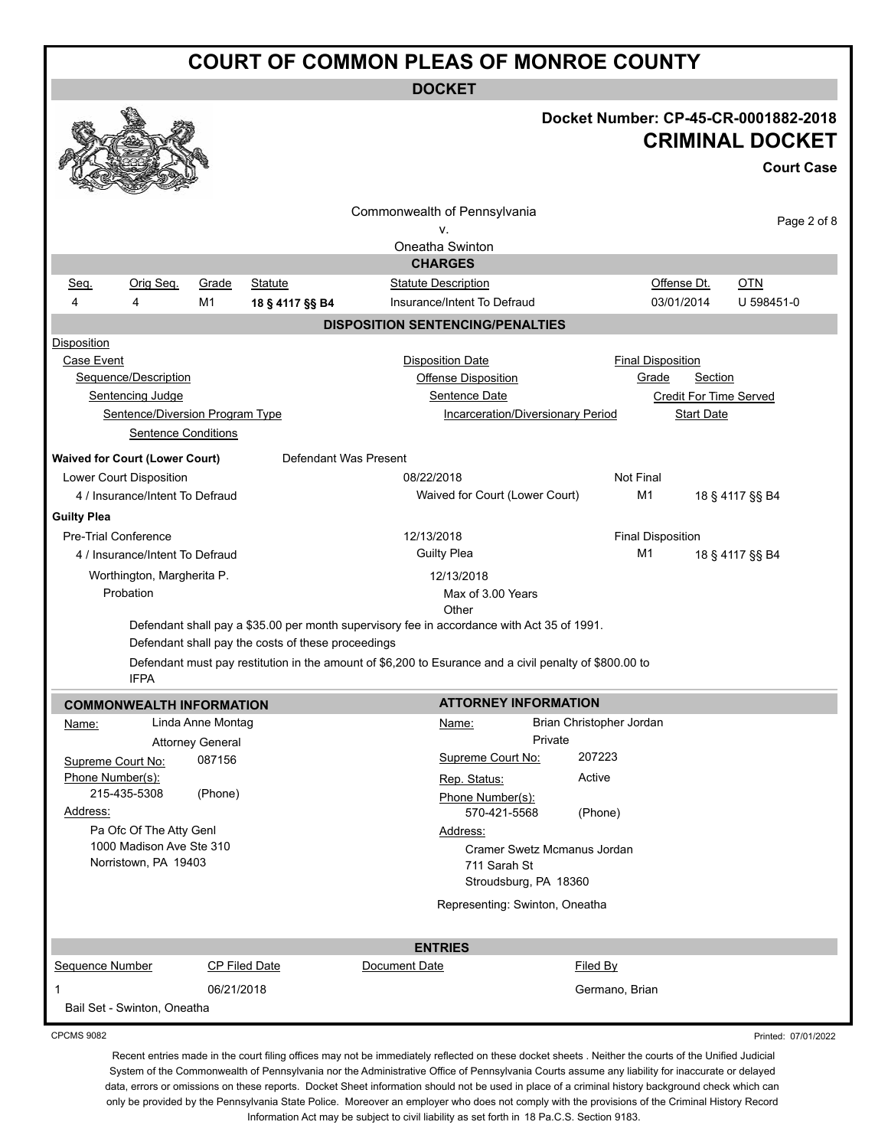**DOCKET**

|                                                                                                                                        |                                                                                                                                                                                                               | Docket Number: CP-45-CR-0001882-2018<br><b>CRIMINAL DOCKET</b><br><b>Court Case</b>         |
|----------------------------------------------------------------------------------------------------------------------------------------|---------------------------------------------------------------------------------------------------------------------------------------------------------------------------------------------------------------|---------------------------------------------------------------------------------------------|
|                                                                                                                                        | Commonwealth of Pennsylvania                                                                                                                                                                                  | Page 2 of 8                                                                                 |
|                                                                                                                                        | ν.<br>Oneatha Swinton                                                                                                                                                                                         |                                                                                             |
|                                                                                                                                        | <b>CHARGES</b>                                                                                                                                                                                                |                                                                                             |
| Orig Seq.<br>Grade<br><b>Statute</b><br>Seq.                                                                                           | <b>Statute Description</b>                                                                                                                                                                                    | Offense Dt.<br><b>OTN</b>                                                                   |
| M1<br>4<br>4<br>18 § 4117 §§ B4                                                                                                        | Insurance/Intent To Defraud                                                                                                                                                                                   | 03/01/2014<br>U 598451-0                                                                    |
|                                                                                                                                        | <b>DISPOSITION SENTENCING/PENALTIES</b>                                                                                                                                                                       |                                                                                             |
| <b>Disposition</b><br>Case Event<br>Sequence/Description<br>Sentencing Judge<br>Sentence/Diversion Program Type<br>Sentence Conditions | <b>Disposition Date</b><br>Offense Disposition<br>Sentence Date<br>Incarceration/Diversionary Period                                                                                                          | <b>Final Disposition</b><br>Grade<br>Section<br><b>Credit For Time Served</b><br>Start Date |
| <b>Waived for Court (Lower Court)</b>                                                                                                  | Defendant Was Present                                                                                                                                                                                         |                                                                                             |
| Lower Court Disposition<br>4 / Insurance/Intent To Defraud                                                                             | 08/22/2018<br>Waived for Court (Lower Court)                                                                                                                                                                  | Not Final<br>M1                                                                             |
|                                                                                                                                        |                                                                                                                                                                                                               | 18 § 4117 §§ B4                                                                             |
| <b>Guilty Plea</b><br><b>Pre-Trial Conference</b>                                                                                      | 12/13/2018                                                                                                                                                                                                    | <b>Final Disposition</b>                                                                    |
| 4 / Insurance/Intent To Defraud                                                                                                        | <b>Guilty Plea</b>                                                                                                                                                                                            | M1<br>18 § 4117 §§ B4                                                                       |
| Worthington, Margherita P.                                                                                                             | 12/13/2018                                                                                                                                                                                                    |                                                                                             |
| Probation                                                                                                                              | Max of 3.00 Years                                                                                                                                                                                             |                                                                                             |
| Defendant shall pay the costs of these proceedings<br><b>IFPA</b>                                                                      | Other<br>Defendant shall pay a \$35.00 per month supervisory fee in accordance with Act 35 of 1991.<br>Defendant must pay restitution in the amount of \$6,200 to Esurance and a civil penalty of \$800.00 to |                                                                                             |
| <b>COMMONWEALTH INFORMATION</b>                                                                                                        | <b>ATTORNEY INFORMATION</b>                                                                                                                                                                                   |                                                                                             |
| Linda Anne Montag<br>Name:                                                                                                             | Brian Christopher Jordan<br>Name:                                                                                                                                                                             |                                                                                             |
| <b>Attorney General</b>                                                                                                                | Private<br>207223                                                                                                                                                                                             |                                                                                             |
| 087156<br>Supreme Court No:<br>Phone Number(s):                                                                                        | Supreme Court No:<br>Active                                                                                                                                                                                   |                                                                                             |
| 215-435-5308<br>(Phone)                                                                                                                | Rep. Status:<br>Phone Number(s):<br>570-421-5568                                                                                                                                                              |                                                                                             |
| Address:<br>Pa Ofc Of The Atty Genl<br>1000 Madison Ave Ste 310<br>Norristown, PA 19403                                                | (Phone)<br>Address:<br>Cramer Swetz Mcmanus Jordan<br>711 Sarah St<br>Stroudsburg, PA 18360                                                                                                                   |                                                                                             |
|                                                                                                                                        | Representing: Swinton, Oneatha                                                                                                                                                                                |                                                                                             |
|                                                                                                                                        | <b>ENTRIES</b>                                                                                                                                                                                                |                                                                                             |
| Sequence Number<br><b>CP Filed Date</b>                                                                                                | Document Date<br>Filed By                                                                                                                                                                                     |                                                                                             |
| 06/21/2018<br>1<br>Bail Set - Swinton, Oneatha                                                                                         |                                                                                                                                                                                                               | Germano, Brian                                                                              |
|                                                                                                                                        |                                                                                                                                                                                                               |                                                                                             |

CPCMS 9082

Printed: 07/01/2022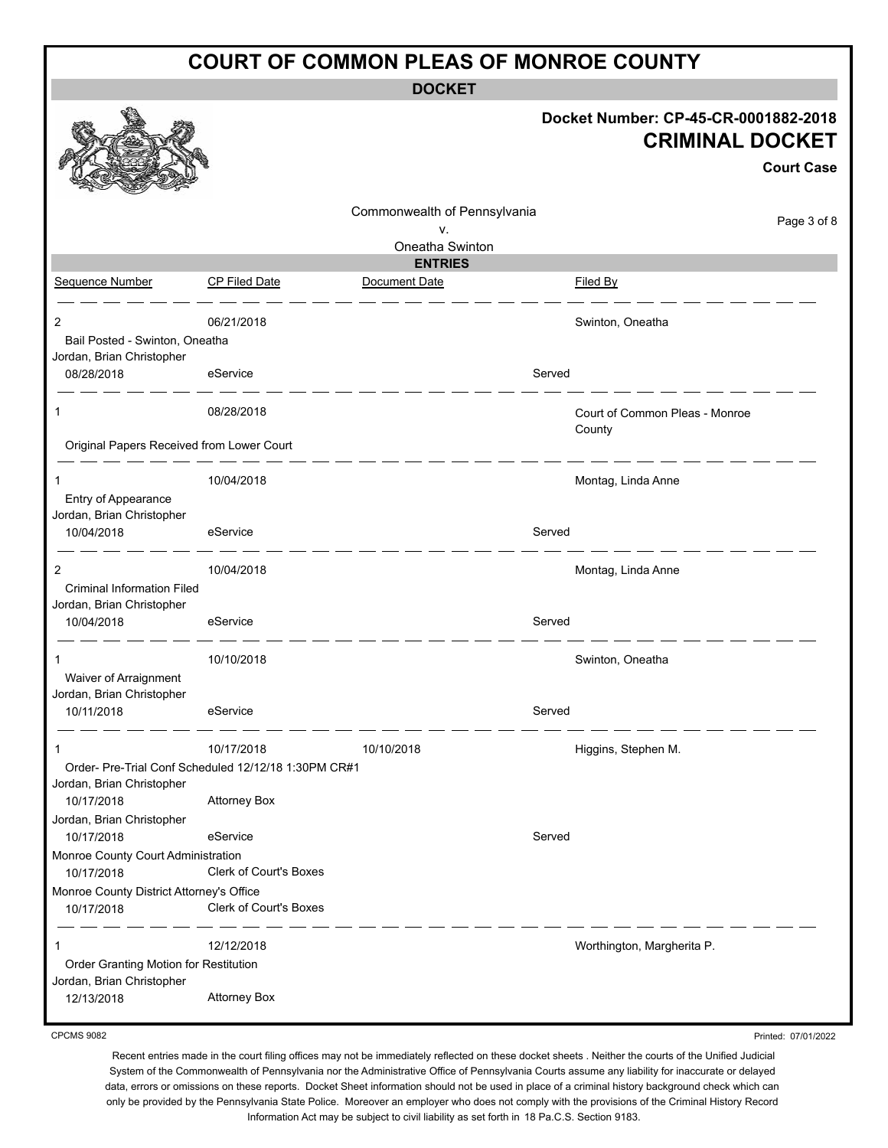**DOCKET**

|                                           |                                                     |                              | Docket Number: CP-45-CR-0001882-2018<br><b>CRIMINAL DOCKET</b><br><b>Court Case</b> |
|-------------------------------------------|-----------------------------------------------------|------------------------------|-------------------------------------------------------------------------------------|
|                                           |                                                     | Commonwealth of Pennsylvania | Page 3 of 8                                                                         |
|                                           |                                                     | ٧.<br>Oneatha Swinton        |                                                                                     |
|                                           |                                                     | <b>ENTRIES</b>               |                                                                                     |
| Sequence Number                           | <b>CP Filed Date</b>                                | Document Date                | Filed By                                                                            |
| 2                                         | 06/21/2018                                          |                              | Swinton, Oneatha                                                                    |
| Bail Posted - Swinton, Oneatha            |                                                     |                              |                                                                                     |
| Jordan, Brian Christopher                 |                                                     | Served                       |                                                                                     |
| 08/28/2018                                | eService                                            |                              |                                                                                     |
| 1                                         | 08/28/2018                                          |                              | Court of Common Pleas - Monroe                                                      |
| Original Papers Received from Lower Court |                                                     |                              | County                                                                              |
| 1                                         | 10/04/2018                                          |                              | Montag, Linda Anne                                                                  |
| Entry of Appearance                       |                                                     |                              |                                                                                     |
| Jordan, Brian Christopher                 |                                                     |                              |                                                                                     |
| 10/04/2018                                | eService                                            | Served                       |                                                                                     |
| 2                                         | 10/04/2018                                          |                              | Montag, Linda Anne                                                                  |
| <b>Criminal Information Filed</b>         |                                                     |                              |                                                                                     |
| Jordan, Brian Christopher                 |                                                     |                              |                                                                                     |
| 10/04/2018                                | eService                                            | Served                       |                                                                                     |
| 1                                         | 10/10/2018                                          |                              | Swinton, Oneatha                                                                    |
| Waiver of Arraignment                     |                                                     |                              |                                                                                     |
| Jordan, Brian Christopher                 |                                                     |                              |                                                                                     |
| 10/11/2018                                | eService                                            | Served                       |                                                                                     |
| -1                                        | 10/17/2018                                          | 10/10/2018                   | Higgins, Stephen M.                                                                 |
|                                           | Order-Pre-Trial Conf Scheduled 12/12/18 1:30PM CR#1 |                              |                                                                                     |
| Jordan, Brian Christopher                 |                                                     |                              |                                                                                     |
| 10/17/2018                                | <b>Attorney Box</b>                                 |                              |                                                                                     |
| Jordan, Brian Christopher<br>10/17/2018   | eService                                            | Served                       |                                                                                     |
| Monroe County Court Administration        |                                                     |                              |                                                                                     |
| 10/17/2018                                | <b>Clerk of Court's Boxes</b>                       |                              |                                                                                     |
| Monroe County District Attorney's Office  |                                                     |                              |                                                                                     |
| 10/17/2018                                | Clerk of Court's Boxes                              |                              |                                                                                     |
| 1                                         | 12/12/2018                                          |                              | Worthington, Margherita P.                                                          |
| Order Granting Motion for Restitution     |                                                     |                              |                                                                                     |
| Jordan, Brian Christopher                 |                                                     |                              |                                                                                     |
| 12/13/2018                                | <b>Attorney Box</b>                                 |                              |                                                                                     |

CPCMS 9082

Recent entries made in the court filing offices may not be immediately reflected on these docket sheets . Neither the courts of the Unified Judicial System of the Commonwealth of Pennsylvania nor the Administrative Office of Pennsylvania Courts assume any liability for inaccurate or delayed data, errors or omissions on these reports. Docket Sheet information should not be used in place of a criminal history background check which can only be provided by the Pennsylvania State Police. Moreover an employer who does not comply with the provisions of the Criminal History Record Information Act may be subject to civil liability as set forth in 18 Pa.C.S. Section 9183.

Printed: 07/01/2022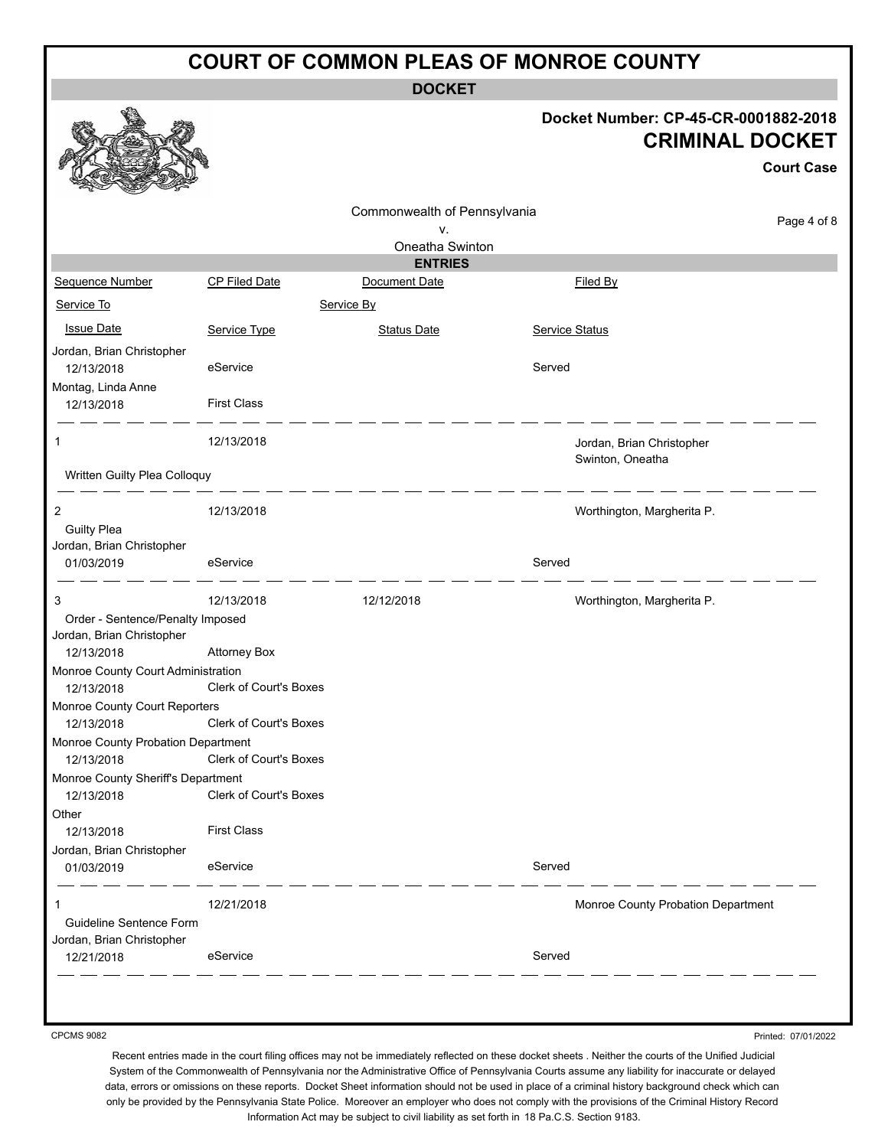**DOCKET**

### **Docket Number: CP-45-CR-0001882-2018 CRIMINAL DOCKET**

|                                                  |                        | Commonwealth of Pennsylvania |                                               | Page 4 of 8 |
|--------------------------------------------------|------------------------|------------------------------|-----------------------------------------------|-------------|
|                                                  |                        | ٧.<br>Oneatha Swinton        |                                               |             |
|                                                  |                        | <b>ENTRIES</b>               |                                               |             |
| Sequence Number                                  | CP Filed Date          | Document Date                | Filed By                                      |             |
| Service To                                       |                        | Service By                   |                                               |             |
| <b>Issue Date</b>                                | Service Type           | <b>Status Date</b>           | Service Status                                |             |
| Jordan, Brian Christopher<br>12/13/2018          | eService               |                              | Served                                        |             |
| Montag, Linda Anne<br>12/13/2018                 | <b>First Class</b>     |                              |                                               |             |
| 1                                                | 12/13/2018             |                              | Jordan, Brian Christopher<br>Swinton, Oneatha |             |
| Written Guilty Plea Colloquy                     |                        |                              |                                               |             |
| $\overline{c}$                                   | 12/13/2018             |                              | Worthington, Margherita P.                    |             |
| <b>Guilty Plea</b>                               |                        |                              |                                               |             |
| Jordan, Brian Christopher                        |                        |                              |                                               |             |
| 01/03/2019                                       | eService               |                              | Served                                        |             |
| 3                                                | 12/13/2018             | 12/12/2018                   | Worthington, Margherita P.                    |             |
| Order - Sentence/Penalty Imposed                 |                        |                              |                                               |             |
| Jordan, Brian Christopher<br>12/13/2018          | <b>Attorney Box</b>    |                              |                                               |             |
| Monroe County Court Administration               |                        |                              |                                               |             |
| 12/13/2018                                       | Clerk of Court's Boxes |                              |                                               |             |
| Monroe County Court Reporters<br>12/13/2018      | Clerk of Court's Boxes |                              |                                               |             |
| Monroe County Probation Department               |                        |                              |                                               |             |
| 12/13/2018                                       | Clerk of Court's Boxes |                              |                                               |             |
| Monroe County Sheriff's Department<br>12/13/2018 | Clerk of Court's Boxes |                              |                                               |             |
| Other                                            |                        |                              |                                               |             |
| 12/13/2018                                       | <b>First Class</b>     |                              |                                               |             |
| Jordan, Brian Christopher                        |                        |                              |                                               |             |
| 01/03/2019                                       | eService               |                              | Served                                        |             |
| 1                                                | 12/21/2018             |                              | Monroe County Probation Department            |             |
| Guideline Sentence Form                          |                        |                              |                                               |             |
| Jordan, Brian Christopher                        |                        |                              |                                               |             |
| 12/21/2018                                       | eService               |                              | Served                                        |             |

CPCMS 9082

Printed: 07/01/2022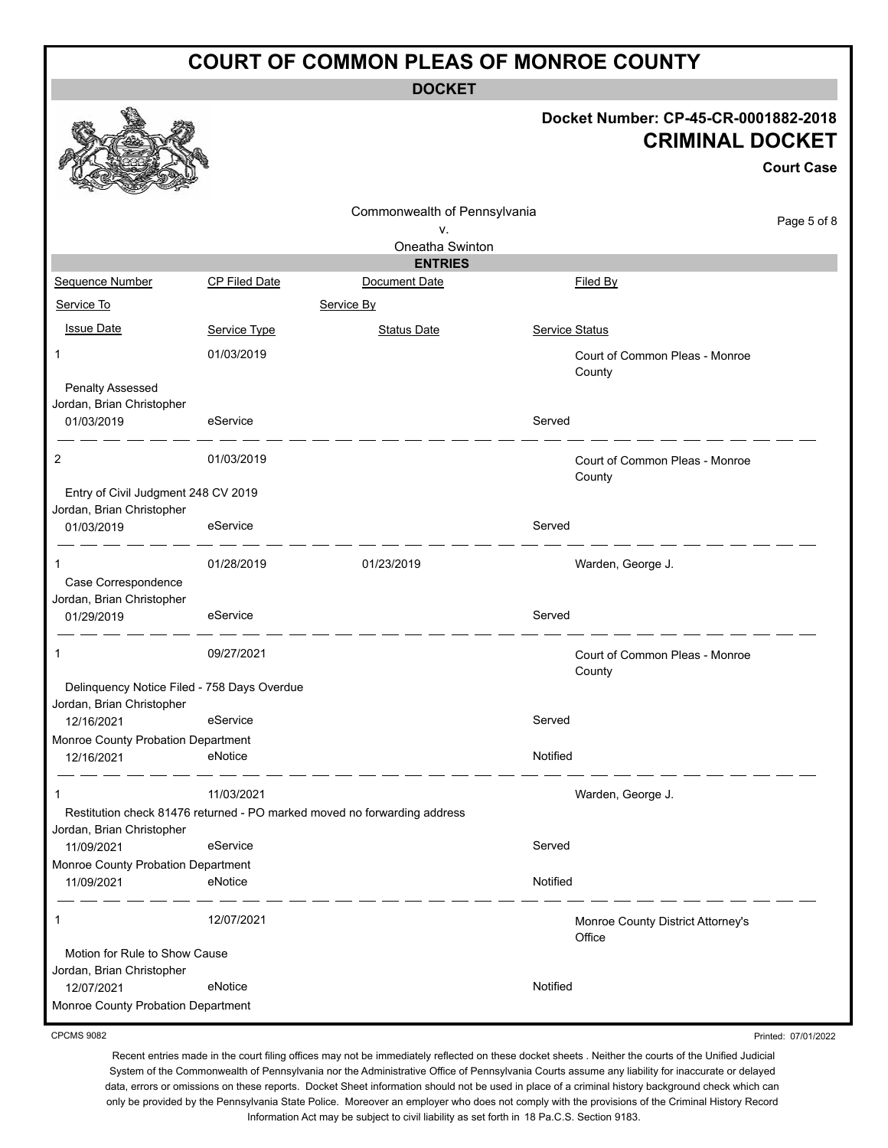**DOCKET**

### **Docket Number: CP-45-CR-0001882-2018 CRIMINAL DOCKET**

|                                                                          |                      |                                                                          |                                             | <b>Court Case</b> |
|--------------------------------------------------------------------------|----------------------|--------------------------------------------------------------------------|---------------------------------------------|-------------------|
|                                                                          |                      | Commonwealth of Pennsylvania<br>٧.                                       |                                             | Page 5 of 8       |
|                                                                          |                      | Oneatha Swinton                                                          |                                             |                   |
|                                                                          |                      | <b>ENTRIES</b>                                                           |                                             |                   |
| Sequence Number                                                          | <b>CP Filed Date</b> | Document Date                                                            | Filed By                                    |                   |
| Service To                                                               |                      | Service By                                                               |                                             |                   |
| <b>Issue Date</b>                                                        | Service Type         | <b>Status Date</b>                                                       | <b>Service Status</b>                       |                   |
| 1                                                                        | 01/03/2019           |                                                                          | Court of Common Pleas - Monroe<br>County    |                   |
| Penalty Assessed                                                         |                      |                                                                          |                                             |                   |
| Jordan, Brian Christopher<br>01/03/2019                                  | eService             |                                                                          | Served                                      |                   |
| 2                                                                        | 01/03/2019           |                                                                          | Court of Common Pleas - Monroe<br>County    |                   |
| Entry of Civil Judgment 248 CV 2019<br>Jordan, Brian Christopher         |                      |                                                                          |                                             |                   |
| 01/03/2019                                                               | eService             |                                                                          | Served                                      |                   |
| 1                                                                        | 01/28/2019           | 01/23/2019                                                               | Warden, George J.                           |                   |
| Case Correspondence<br>Jordan, Brian Christopher                         |                      |                                                                          |                                             |                   |
| 01/29/2019                                                               | eService             |                                                                          | Served                                      |                   |
| 1                                                                        | 09/27/2021           |                                                                          | Court of Common Pleas - Monroe<br>County    |                   |
| Delinquency Notice Filed - 758 Days Overdue<br>Jordan, Brian Christopher |                      |                                                                          |                                             |                   |
| 12/16/2021                                                               | eService             |                                                                          | Served                                      |                   |
| Monroe County Probation Department                                       |                      |                                                                          |                                             |                   |
| 12/16/2021                                                               | eNotice              |                                                                          | Notified                                    |                   |
|                                                                          | 11/03/2021           |                                                                          | Warden, George J.                           |                   |
| Jordan, Brian Christopher                                                |                      | Restitution check 81476 returned - PO marked moved no forwarding address |                                             |                   |
| 11/09/2021                                                               | eService             |                                                                          | Served                                      |                   |
| Monroe County Probation Department                                       |                      |                                                                          |                                             |                   |
| 11/09/2021                                                               | eNotice              |                                                                          | Notified                                    |                   |
| $\mathbf{1}$                                                             | 12/07/2021           |                                                                          | Monroe County District Attorney's<br>Office |                   |
| Motion for Rule to Show Cause<br>Jordan, Brian Christopher               |                      |                                                                          |                                             |                   |
| 12/07/2021                                                               | eNotice              |                                                                          | Notified                                    |                   |
| Monroe County Probation Department                                       |                      |                                                                          |                                             |                   |

CPCMS 9082

Recent entries made in the court filing offices may not be immediately reflected on these docket sheets . Neither the courts of the Unified Judicial System of the Commonwealth of Pennsylvania nor the Administrative Office of Pennsylvania Courts assume any liability for inaccurate or delayed data, errors or omissions on these reports. Docket Sheet information should not be used in place of a criminal history background check which can only be provided by the Pennsylvania State Police. Moreover an employer who does not comply with the provisions of the Criminal History Record Information Act may be subject to civil liability as set forth in 18 Pa.C.S. Section 9183.

Printed: 07/01/2022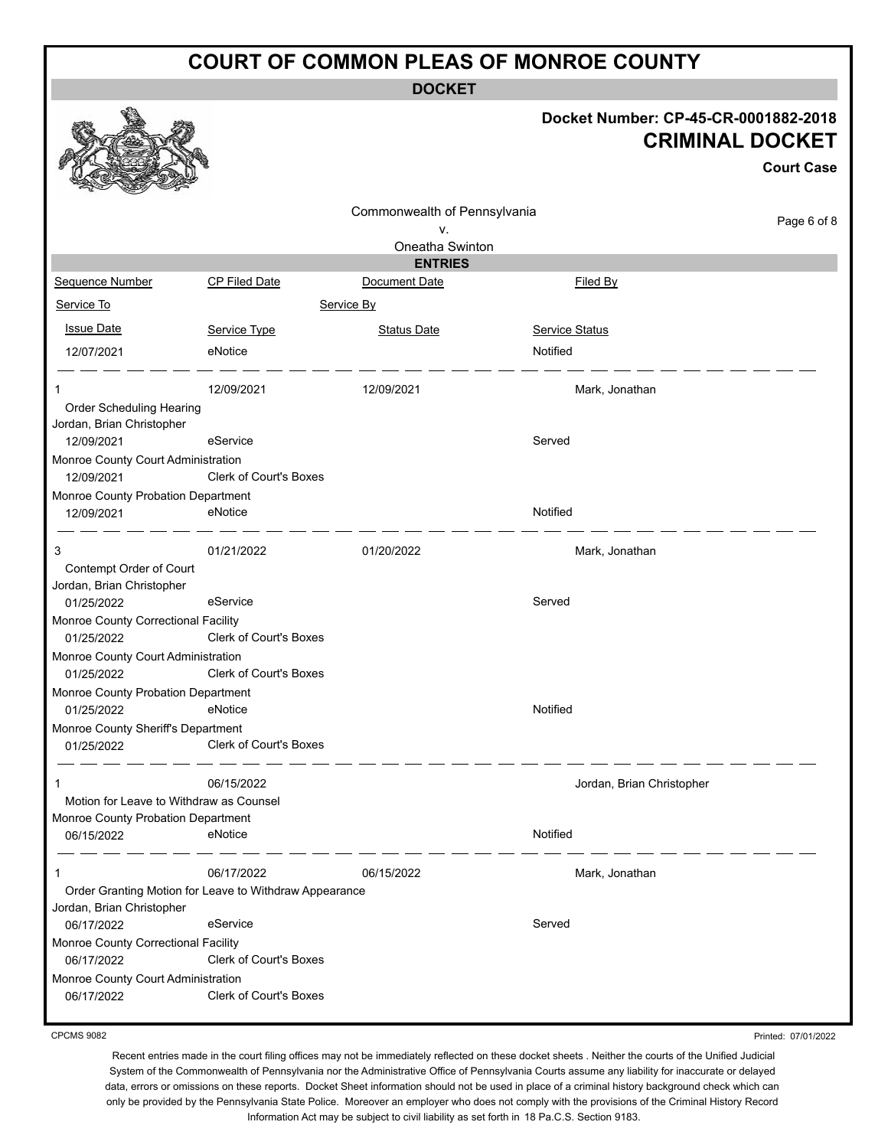**DOCKET**

#### **Docket Number: CP-45-CR-0001882-2018 CRIMINAL DOCKET**

**Court Case**

|                                                      |                                                        |                                    |                           | <b>Court Case</b> |
|------------------------------------------------------|--------------------------------------------------------|------------------------------------|---------------------------|-------------------|
|                                                      |                                                        | Commonwealth of Pennsylvania<br>۷. |                           | Page 6 of 8       |
|                                                      |                                                        | Oneatha Swinton<br><b>ENTRIES</b>  |                           |                   |
| Sequence Number                                      | <b>CP Filed Date</b>                                   | Document Date                      | Filed By                  |                   |
| Service To                                           |                                                        | Service By                         |                           |                   |
|                                                      |                                                        |                                    |                           |                   |
| <b>Issue Date</b>                                    | Service Type                                           | <b>Status Date</b>                 | <b>Service Status</b>     |                   |
| 12/07/2021                                           | eNotice                                                |                                    | Notified                  |                   |
|                                                      | 12/09/2021                                             | 12/09/2021                         | Mark, Jonathan            |                   |
| Order Scheduling Hearing                             |                                                        |                                    |                           |                   |
| Jordan, Brian Christopher                            |                                                        |                                    |                           |                   |
| 12/09/2021                                           | eService                                               |                                    | Served                    |                   |
| Monroe County Court Administration<br>12/09/2021     | Clerk of Court's Boxes                                 |                                    |                           |                   |
| Monroe County Probation Department                   |                                                        |                                    |                           |                   |
| 12/09/2021                                           | eNotice                                                |                                    | Notified                  |                   |
| 3                                                    | 01/21/2022                                             | 01/20/2022                         | Mark, Jonathan            |                   |
| Contempt Order of Court<br>Jordan, Brian Christopher |                                                        |                                    |                           |                   |
| 01/25/2022                                           | eService                                               |                                    | Served                    |                   |
| Monroe County Correctional Facility                  |                                                        |                                    |                           |                   |
| 01/25/2022                                           | <b>Clerk of Court's Boxes</b>                          |                                    |                           |                   |
| Monroe County Court Administration                   |                                                        |                                    |                           |                   |
| 01/25/2022                                           | <b>Clerk of Court's Boxes</b>                          |                                    |                           |                   |
| Monroe County Probation Department                   |                                                        |                                    |                           |                   |
| 01/25/2022                                           | eNotice                                                |                                    | Notified                  |                   |
| Monroe County Sheriff's Department<br>01/25/2022     | Clerk of Court's Boxes                                 |                                    |                           |                   |
|                                                      |                                                        |                                    |                           |                   |
|                                                      | 06/15/2022                                             |                                    | Jordan, Brian Christopher |                   |
| Motion for Leave to Withdraw as Counsel              |                                                        |                                    |                           |                   |
| Monroe County Probation Department                   |                                                        |                                    |                           |                   |
| 06/15/2022                                           | eNotice                                                |                                    | Notified                  |                   |
| 1                                                    | 06/17/2022                                             | 06/15/2022                         | Mark, Jonathan            |                   |
| Jordan, Brian Christopher                            | Order Granting Motion for Leave to Withdraw Appearance |                                    |                           |                   |
| 06/17/2022                                           | eService                                               |                                    | Served                    |                   |
| Monroe County Correctional Facility<br>06/17/2022    | Clerk of Court's Boxes                                 |                                    |                           |                   |
| Monroe County Court Administration<br>06/17/2022     | <b>Clerk of Court's Boxes</b>                          |                                    |                           |                   |
|                                                      |                                                        |                                    |                           |                   |

CPCMS 9082

Printed: 07/01/2022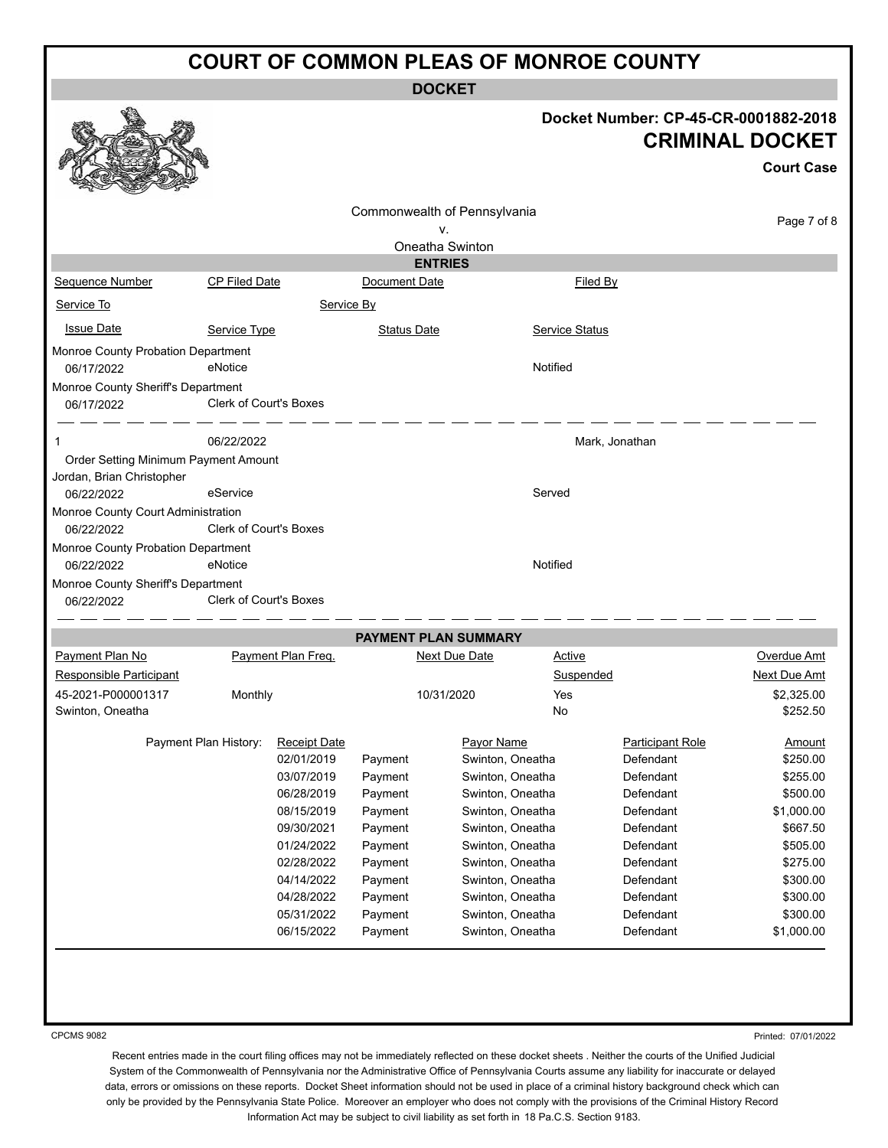**DOCKET**

|                                                                                 |                      |                                                                                                                                                                                              |                                                                                                                       | DUUNE I                                                                                                                                                                                                                                |                       |                                                                                                                                                                        |                                                                                                                                                |
|---------------------------------------------------------------------------------|----------------------|----------------------------------------------------------------------------------------------------------------------------------------------------------------------------------------------|-----------------------------------------------------------------------------------------------------------------------|----------------------------------------------------------------------------------------------------------------------------------------------------------------------------------------------------------------------------------------|-----------------------|------------------------------------------------------------------------------------------------------------------------------------------------------------------------|------------------------------------------------------------------------------------------------------------------------------------------------|
|                                                                                 |                      |                                                                                                                                                                                              |                                                                                                                       |                                                                                                                                                                                                                                        |                       | Docket Number: CP-45-CR-0001882-2018<br><b>CRIMINAL DOCKET</b>                                                                                                         | <b>Court Case</b>                                                                                                                              |
|                                                                                 |                      |                                                                                                                                                                                              |                                                                                                                       | Commonwealth of Pennsylvania                                                                                                                                                                                                           |                       |                                                                                                                                                                        |                                                                                                                                                |
|                                                                                 |                      |                                                                                                                                                                                              |                                                                                                                       | ۷.                                                                                                                                                                                                                                     |                       |                                                                                                                                                                        | Page 7 of 8                                                                                                                                    |
|                                                                                 |                      |                                                                                                                                                                                              |                                                                                                                       | Oneatha Swinton                                                                                                                                                                                                                        |                       |                                                                                                                                                                        |                                                                                                                                                |
|                                                                                 |                      |                                                                                                                                                                                              |                                                                                                                       | <b>ENTRIES</b>                                                                                                                                                                                                                         |                       |                                                                                                                                                                        |                                                                                                                                                |
| Sequence Number                                                                 | <b>CP Filed Date</b> |                                                                                                                                                                                              | Document Date                                                                                                         |                                                                                                                                                                                                                                        | <b>Filed By</b>       |                                                                                                                                                                        |                                                                                                                                                |
| Service To                                                                      |                      | Service By                                                                                                                                                                                   |                                                                                                                       |                                                                                                                                                                                                                                        |                       |                                                                                                                                                                        |                                                                                                                                                |
| <b>Issue Date</b>                                                               | Service Type         |                                                                                                                                                                                              | <b>Status Date</b>                                                                                                    |                                                                                                                                                                                                                                        | <b>Service Status</b> |                                                                                                                                                                        |                                                                                                                                                |
| Monroe County Probation Department<br>06/17/2022                                | eNotice              |                                                                                                                                                                                              |                                                                                                                       |                                                                                                                                                                                                                                        | Notified              |                                                                                                                                                                        |                                                                                                                                                |
| Monroe County Sheriff's Department<br>06/17/2022                                |                      | <b>Clerk of Court's Boxes</b>                                                                                                                                                                |                                                                                                                       |                                                                                                                                                                                                                                        |                       |                                                                                                                                                                        |                                                                                                                                                |
| -1                                                                              | 06/22/2022           |                                                                                                                                                                                              |                                                                                                                       |                                                                                                                                                                                                                                        | Mark, Jonathan        |                                                                                                                                                                        |                                                                                                                                                |
| Order Setting Minimum Payment Amount<br>Jordan, Brian Christopher<br>06/22/2022 | eService             |                                                                                                                                                                                              |                                                                                                                       |                                                                                                                                                                                                                                        | Served                |                                                                                                                                                                        |                                                                                                                                                |
| Monroe County Court Administration<br>06/22/2022                                |                      | <b>Clerk of Court's Boxes</b>                                                                                                                                                                |                                                                                                                       |                                                                                                                                                                                                                                        |                       |                                                                                                                                                                        |                                                                                                                                                |
| Monroe County Probation Department<br>06/22/2022                                | eNotice              |                                                                                                                                                                                              |                                                                                                                       |                                                                                                                                                                                                                                        | Notified              |                                                                                                                                                                        |                                                                                                                                                |
| Monroe County Sheriff's Department<br>06/22/2022                                |                      | <b>Clerk of Court's Boxes</b>                                                                                                                                                                |                                                                                                                       |                                                                                                                                                                                                                                        |                       |                                                                                                                                                                        |                                                                                                                                                |
|                                                                                 |                      |                                                                                                                                                                                              |                                                                                                                       | PAYMENT PLAN SUMMARY                                                                                                                                                                                                                   |                       |                                                                                                                                                                        |                                                                                                                                                |
| Payment Plan No                                                                 |                      | Payment Plan Freq.                                                                                                                                                                           |                                                                                                                       | <b>Next Due Date</b>                                                                                                                                                                                                                   | <b>Active</b>         |                                                                                                                                                                        | Overdue Amt                                                                                                                                    |
| Responsible Participant                                                         |                      |                                                                                                                                                                                              |                                                                                                                       |                                                                                                                                                                                                                                        | Suspended             |                                                                                                                                                                        | Next Due Amt                                                                                                                                   |
| 45-2021-P000001317<br>Swinton, Oneatha                                          | Monthly              |                                                                                                                                                                                              |                                                                                                                       | 10/31/2020                                                                                                                                                                                                                             | Yes<br>No             |                                                                                                                                                                        | \$2.325.00<br>\$252.50                                                                                                                         |
|                                                                                 |                      | Payment Plan History: Receipt Date<br>02/01/2019<br>03/07/2019<br>06/28/2019<br>08/15/2019<br>09/30/2021<br>01/24/2022<br>02/28/2022<br>04/14/2022<br>04/28/2022<br>05/31/2022<br>06/15/2022 | Payment<br>Payment<br>Payment<br>Payment<br>Payment<br>Payment<br>Payment<br>Payment<br>Payment<br>Payment<br>Payment | Payor Name<br>Swinton, Oneatha<br>Swinton, Oneatha<br>Swinton, Oneatha<br>Swinton, Oneatha<br>Swinton, Oneatha<br>Swinton, Oneatha<br>Swinton, Oneatha<br>Swinton, Oneatha<br>Swinton, Oneatha<br>Swinton, Oneatha<br>Swinton, Oneatha |                       | <b>Participant Role</b><br>Defendant<br>Defendant<br>Defendant<br>Defendant<br>Defendant<br>Defendant<br>Defendant<br>Defendant<br>Defendant<br>Defendant<br>Defendant | Amount<br>\$250.00<br>\$255.00<br>\$500.00<br>\$1,000.00<br>\$667.50<br>\$505.00<br>\$275.00<br>\$300.00<br>\$300.00<br>\$300.00<br>\$1,000.00 |

CPCMS 9082

Printed: 07/01/2022